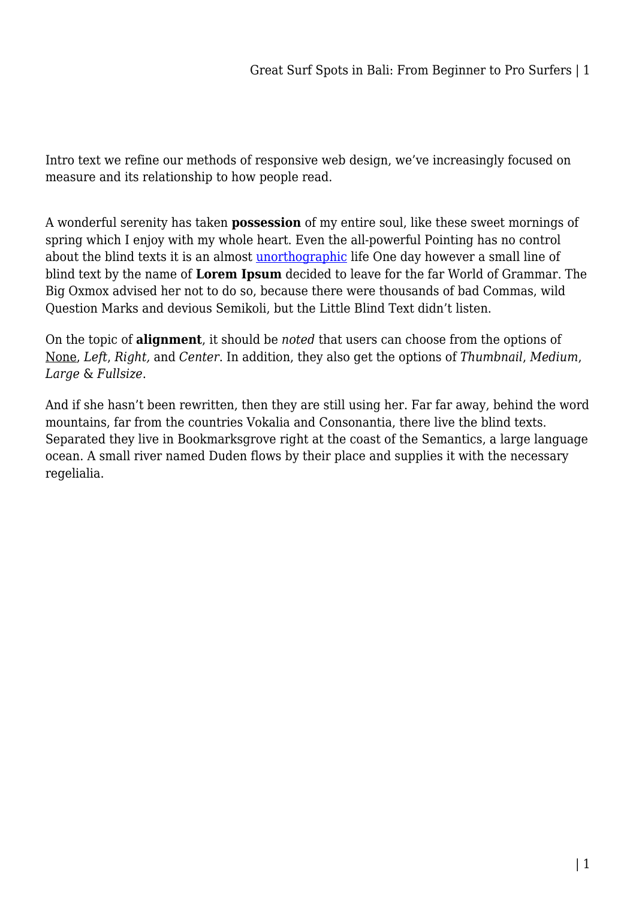Intro text we refine our methods of responsive web design, we've increasingly focused on measure and its relationship to how people read.

A wonderful serenity has taken **possession** of my entire soul, like these sweet mornings of spring which I enjoy with my whole heart. Even the all-powerful Pointing has no control about the blind texts it is an almost [unorthographic](#page--1-0) life One day however a small line of blind text by the name of **Lorem Ipsum** decided to leave for the far World of Grammar. The Big Oxmox advised her not to do so, because there were thousands of bad Commas, wild Question Marks and devious Semikoli, but the Little Blind Text didn't listen.

On the topic of **alignment**, it should be *noted* that users can choose from the options of None, *Left*, *Right,* and *Center*. In addition, they also get the options of *Thumbnail*, *Medium*, *Large* & *Fullsize*.

And if she hasn't been rewritten, then they are still using her. Far far away, behind the word mountains, far from the countries Vokalia and Consonantia, there live the blind texts. Separated they live in Bookmarksgrove right at the coast of the Semantics, a large language ocean. A small river named Duden flows by their place and supplies it with the necessary regelialia.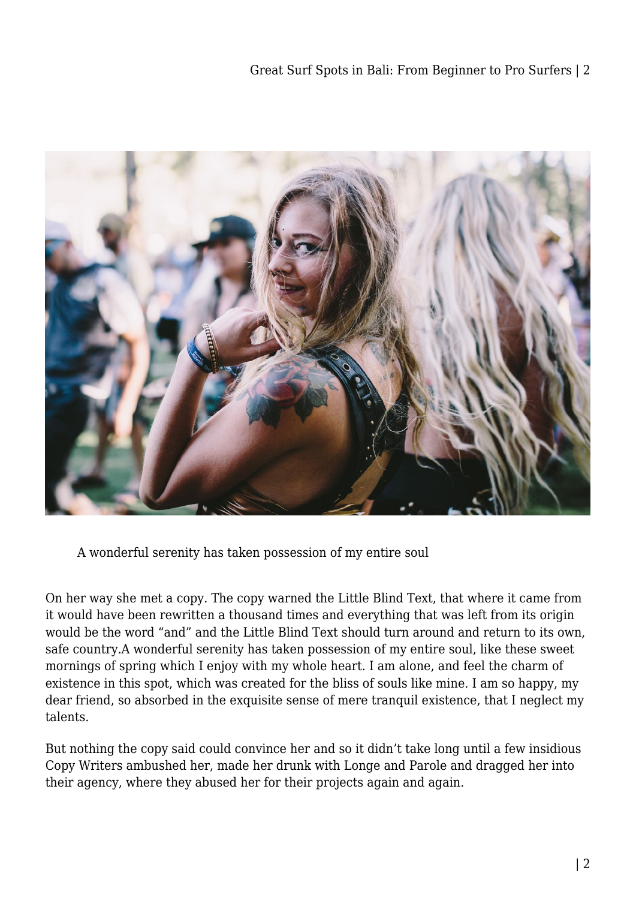

A wonderful serenity has taken possession of my entire soul

On her way she met a copy. The copy warned the Little Blind Text, that where it came from it would have been rewritten a thousand times and everything that was left from its origin would be the word "and" and the Little Blind Text should turn around and return to its own, safe country.A wonderful serenity has taken possession of my entire soul, like these sweet mornings of spring which I enjoy with my whole heart. I am alone, and feel the charm of existence in this spot, which was created for the bliss of souls like mine. I am so happy, my dear friend, so absorbed in the exquisite sense of mere tranquil existence, that I neglect my talents.

But nothing the copy said could convince her and so it didn't take long until a few insidious Copy Writers ambushed her, made her drunk with Longe and Parole and dragged her into their agency, where they abused her for their projects again and again.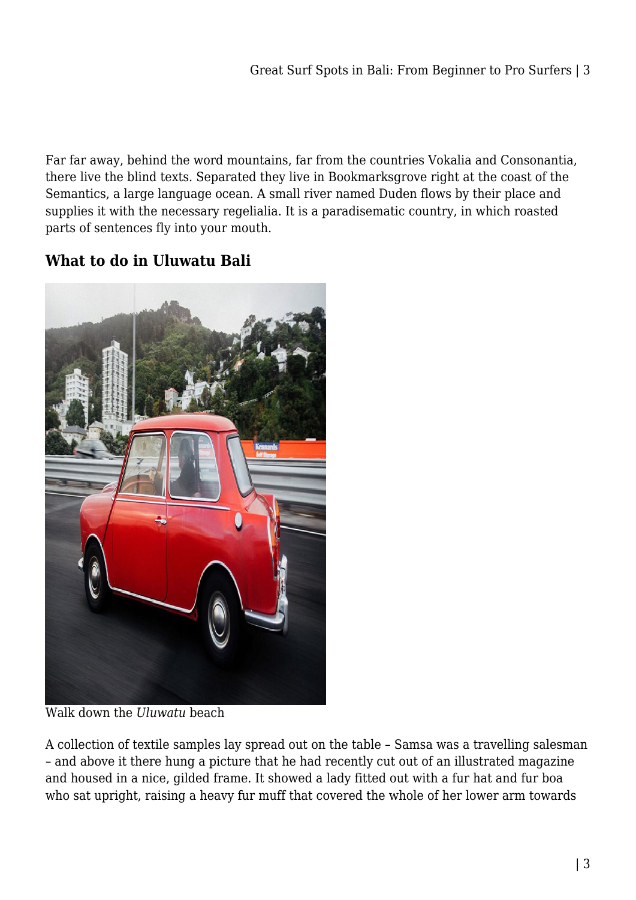Far far away, behind the word mountains, far from the countries Vokalia and Consonantia, there live the blind texts. Separated they live in Bookmarksgrove right at the coast of the Semantics, a large language ocean. A small river named Duden flows by their place and supplies it with the necessary regelialia. It is a paradisematic country, in which roasted parts of sentences fly into your mouth.

## **What to do in Uluwatu Bali**



Walk down the *Uluwatu* beach

A collection of textile samples lay spread out on the table – Samsa was a travelling salesman – and above it there hung a picture that he had recently cut out of an illustrated magazine and housed in a nice, gilded frame. It showed a lady fitted out with a fur hat and fur boa who sat upright, raising a heavy fur muff that covered the whole of her lower arm towards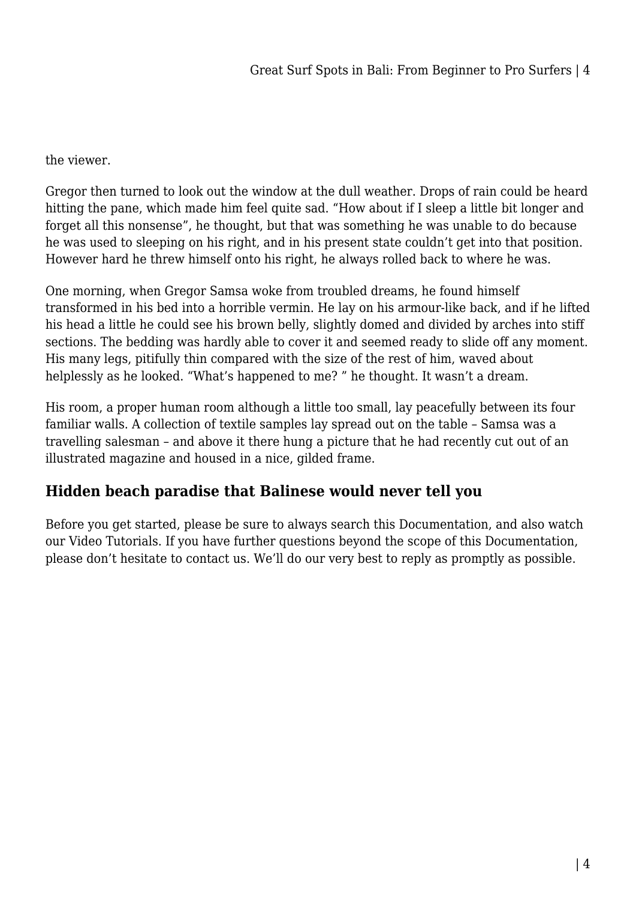## the viewer.

Gregor then turned to look out the window at the dull weather. Drops of rain could be heard hitting the pane, which made him feel quite sad. "How about if I sleep a little bit longer and forget all this nonsense", he thought, but that was something he was unable to do because he was used to sleeping on his right, and in his present state couldn't get into that position. However hard he threw himself onto his right, he always rolled back to where he was.

One morning, when Gregor Samsa woke from troubled dreams, he found himself transformed in his bed into a horrible vermin. He lay on his armour-like back, and if he lifted his head a little he could see his brown belly, slightly domed and divided by arches into stiff sections. The bedding was hardly able to cover it and seemed ready to slide off any moment. His many legs, pitifully thin compared with the size of the rest of him, waved about helplessly as he looked. "What's happened to me? " he thought. It wasn't a dream.

His room, a proper human room although a little too small, lay peacefully between its four familiar walls. A collection of textile samples lay spread out on the table – Samsa was a travelling salesman – and above it there hung a picture that he had recently cut out of an illustrated magazine and housed in a nice, gilded frame.

## **Hidden beach paradise that Balinese would never tell you**

Before you get started, please be sure to always search this Documentation, and also watch our Video Tutorials. If you have further questions beyond the scope of this Documentation, please don't hesitate to contact us. We'll do our very best to reply as promptly as possible.